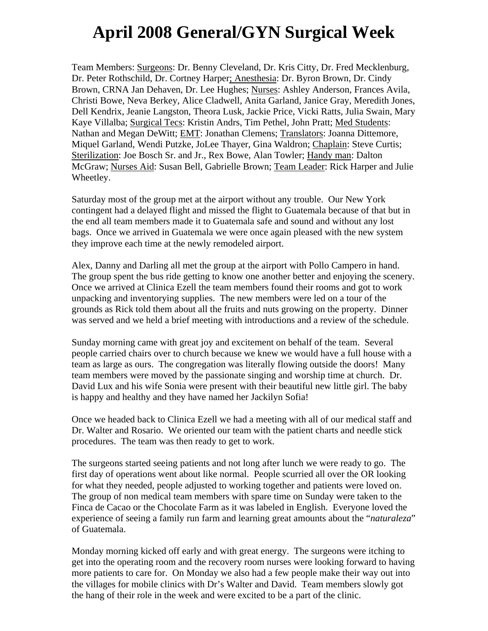## **April 2008 General/GYN Surgical Week**

Team Members: Surgeons: Dr. Benny Cleveland, Dr. Kris Citty, Dr. Fred Mecklenburg, Dr. Peter Rothschild, Dr. Cortney Harper; Anesthesia: Dr. Byron Brown, Dr. Cindy Brown, CRNA Jan Dehaven, Dr. Lee Hughes; Nurses: Ashley Anderson, Frances Avila, Christi Bowe, Neva Berkey, Alice Cladwell, Anita Garland, Janice Gray, Meredith Jones, Dell Kendrix, Jeanie Langston, Theora Lusk, Jackie Price, Vicki Ratts, Julia Swain, Mary Kaye Villalba; Surgical Tecs: Kristin Andrs, Tim Pethel, John Pratt; Med Students: Nathan and Megan DeWitt; EMT: Jonathan Clemens; Translators: Joanna Dittemore, Miquel Garland, Wendi Putzke, JoLee Thayer, Gina Waldron; Chaplain: Steve Curtis; Sterilization: Joe Bosch Sr. and Jr., Rex Bowe, Alan Towler; Handy man: Dalton McGraw; Nurses Aid: Susan Bell, Gabrielle Brown; Team Leader: Rick Harper and Julie Wheetley.

Saturday most of the group met at the airport without any trouble. Our New York contingent had a delayed flight and missed the flight to Guatemala because of that but in the end all team members made it to Guatemala safe and sound and without any lost bags. Once we arrived in Guatemala we were once again pleased with the new system they improve each time at the newly remodeled airport.

Alex, Danny and Darling all met the group at the airport with Pollo Campero in hand. The group spent the bus ride getting to know one another better and enjoying the scenery. Once we arrived at Clinica Ezell the team members found their rooms and got to work unpacking and inventorying supplies. The new members were led on a tour of the grounds as Rick told them about all the fruits and nuts growing on the property. Dinner was served and we held a brief meeting with introductions and a review of the schedule.

Sunday morning came with great joy and excitement on behalf of the team. Several people carried chairs over to church because we knew we would have a full house with a team as large as ours. The congregation was literally flowing outside the doors! Many team members were moved by the passionate singing and worship time at church. Dr. David Lux and his wife Sonia were present with their beautiful new little girl. The baby is happy and healthy and they have named her Jackilyn Sofia!

Once we headed back to Clinica Ezell we had a meeting with all of our medical staff and Dr. Walter and Rosario. We oriented our team with the patient charts and needle stick procedures. The team was then ready to get to work.

The surgeons started seeing patients and not long after lunch we were ready to go. The first day of operations went about like normal. People scurried all over the OR looking for what they needed, people adjusted to working together and patients were loved on. The group of non medical team members with spare time on Sunday were taken to the Finca de Cacao or the Chocolate Farm as it was labeled in English. Everyone loved the experience of seeing a family run farm and learning great amounts about the "*naturaleza*" of Guatemala.

Monday morning kicked off early and with great energy. The surgeons were itching to get into the operating room and the recovery room nurses were looking forward to having more patients to care for. On Monday we also had a few people make their way out into the villages for mobile clinics with Dr's Walter and David. Team members slowly got the hang of their role in the week and were excited to be a part of the clinic.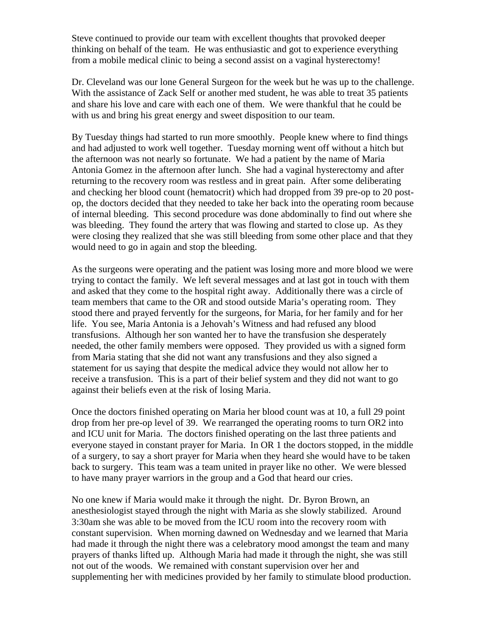Steve continued to provide our team with excellent thoughts that provoked deeper thinking on behalf of the team. He was enthusiastic and got to experience everything from a mobile medical clinic to being a second assist on a vaginal hysterectomy!

Dr. Cleveland was our lone General Surgeon for the week but he was up to the challenge. With the assistance of Zack Self or another med student, he was able to treat 35 patients and share his love and care with each one of them. We were thankful that he could be with us and bring his great energy and sweet disposition to our team.

By Tuesday things had started to run more smoothly. People knew where to find things and had adjusted to work well together. Tuesday morning went off without a hitch but the afternoon was not nearly so fortunate. We had a patient by the name of Maria Antonia Gomez in the afternoon after lunch. She had a vaginal hysterectomy and after returning to the recovery room was restless and in great pain. After some deliberating and checking her blood count (hematocrit) which had dropped from 39 pre-op to 20 postop, the doctors decided that they needed to take her back into the operating room because of internal bleeding. This second procedure was done abdominally to find out where she was bleeding. They found the artery that was flowing and started to close up. As they were closing they realized that she was still bleeding from some other place and that they would need to go in again and stop the bleeding.

As the surgeons were operating and the patient was losing more and more blood we were trying to contact the family. We left several messages and at last got in touch with them and asked that they come to the hospital right away. Additionally there was a circle of team members that came to the OR and stood outside Maria's operating room. They stood there and prayed fervently for the surgeons, for Maria, for her family and for her life. You see, Maria Antonia is a Jehovah's Witness and had refused any blood transfusions. Although her son wanted her to have the transfusion she desperately needed, the other family members were opposed. They provided us with a signed form from Maria stating that she did not want any transfusions and they also signed a statement for us saying that despite the medical advice they would not allow her to receive a transfusion. This is a part of their belief system and they did not want to go against their beliefs even at the risk of losing Maria.

Once the doctors finished operating on Maria her blood count was at 10, a full 29 point drop from her pre-op level of 39. We rearranged the operating rooms to turn OR2 into and ICU unit for Maria. The doctors finished operating on the last three patients and everyone stayed in constant prayer for Maria. In OR 1 the doctors stopped, in the middle of a surgery, to say a short prayer for Maria when they heard she would have to be taken back to surgery. This team was a team united in prayer like no other. We were blessed to have many prayer warriors in the group and a God that heard our cries.

No one knew if Maria would make it through the night. Dr. Byron Brown, an anesthesiologist stayed through the night with Maria as she slowly stabilized. Around 3:30am she was able to be moved from the ICU room into the recovery room with constant supervision. When morning dawned on Wednesday and we learned that Maria had made it through the night there was a celebratory mood amongst the team and many prayers of thanks lifted up. Although Maria had made it through the night, she was still not out of the woods. We remained with constant supervision over her and supplementing her with medicines provided by her family to stimulate blood production.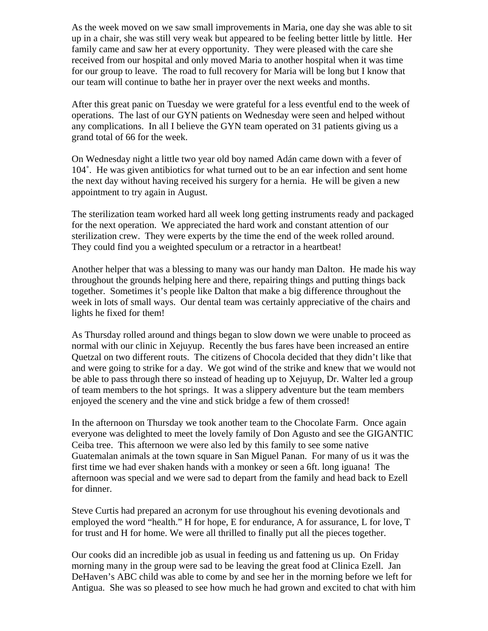As the week moved on we saw small improvements in Maria, one day she was able to sit up in a chair, she was still very weak but appeared to be feeling better little by little. Her family came and saw her at every opportunity. They were pleased with the care she received from our hospital and only moved Maria to another hospital when it was time for our group to leave. The road to full recovery for Maria will be long but I know that our team will continue to bathe her in prayer over the next weeks and months.

After this great panic on Tuesday we were grateful for a less eventful end to the week of operations. The last of our GYN patients on Wednesday were seen and helped without any complications. In all I believe the GYN team operated on 31 patients giving us a grand total of 66 for the week.

On Wednesday night a little two year old boy named Adán came down with a fever of 104˚. He was given antibiotics for what turned out to be an ear infection and sent home the next day without having received his surgery for a hernia. He will be given a new appointment to try again in August.

The sterilization team worked hard all week long getting instruments ready and packaged for the next operation. We appreciated the hard work and constant attention of our sterilization crew. They were experts by the time the end of the week rolled around. They could find you a weighted speculum or a retractor in a heartbeat!

Another helper that was a blessing to many was our handy man Dalton. He made his way throughout the grounds helping here and there, repairing things and putting things back together. Sometimes it's people like Dalton that make a big difference throughout the week in lots of small ways. Our dental team was certainly appreciative of the chairs and lights he fixed for them!

As Thursday rolled around and things began to slow down we were unable to proceed as normal with our clinic in Xejuyup. Recently the bus fares have been increased an entire Quetzal on two different routs. The citizens of Chocola decided that they didn't like that and were going to strike for a day. We got wind of the strike and knew that we would not be able to pass through there so instead of heading up to Xejuyup, Dr. Walter led a group of team members to the hot springs. It was a slippery adventure but the team members enjoyed the scenery and the vine and stick bridge a few of them crossed!

In the afternoon on Thursday we took another team to the Chocolate Farm. Once again everyone was delighted to meet the lovely family of Don Agusto and see the GIGANTIC Ceiba tree. This afternoon we were also led by this family to see some native Guatemalan animals at the town square in San Miguel Panan. For many of us it was the first time we had ever shaken hands with a monkey or seen a 6ft. long iguana! The afternoon was special and we were sad to depart from the family and head back to Ezell for dinner.

Steve Curtis had prepared an acronym for use throughout his evening devotionals and employed the word "health." H for hope, E for endurance, A for assurance, L for love, T for trust and H for home. We were all thrilled to finally put all the pieces together.

Our cooks did an incredible job as usual in feeding us and fattening us up. On Friday morning many in the group were sad to be leaving the great food at Clinica Ezell. Jan DeHaven's ABC child was able to come by and see her in the morning before we left for Antigua. She was so pleased to see how much he had grown and excited to chat with him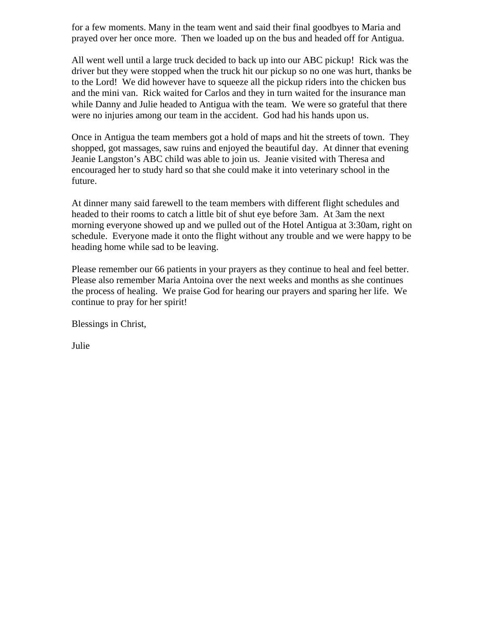for a few moments. Many in the team went and said their final goodbyes to Maria and prayed over her once more. Then we loaded up on the bus and headed off for Antigua.

All went well until a large truck decided to back up into our ABC pickup! Rick was the driver but they were stopped when the truck hit our pickup so no one was hurt, thanks be to the Lord! We did however have to squeeze all the pickup riders into the chicken bus and the mini van. Rick waited for Carlos and they in turn waited for the insurance man while Danny and Julie headed to Antigua with the team. We were so grateful that there were no injuries among our team in the accident. God had his hands upon us.

Once in Antigua the team members got a hold of maps and hit the streets of town. They shopped, got massages, saw ruins and enjoyed the beautiful day. At dinner that evening Jeanie Langston's ABC child was able to join us. Jeanie visited with Theresa and encouraged her to study hard so that she could make it into veterinary school in the future.

At dinner many said farewell to the team members with different flight schedules and headed to their rooms to catch a little bit of shut eye before 3am. At 3am the next morning everyone showed up and we pulled out of the Hotel Antigua at 3:30am, right on schedule. Everyone made it onto the flight without any trouble and we were happy to be heading home while sad to be leaving.

Please remember our 66 patients in your prayers as they continue to heal and feel better. Please also remember Maria Antoina over the next weeks and months as she continues the process of healing. We praise God for hearing our prayers and sparing her life. We continue to pray for her spirit!

Blessings in Christ,

Julie